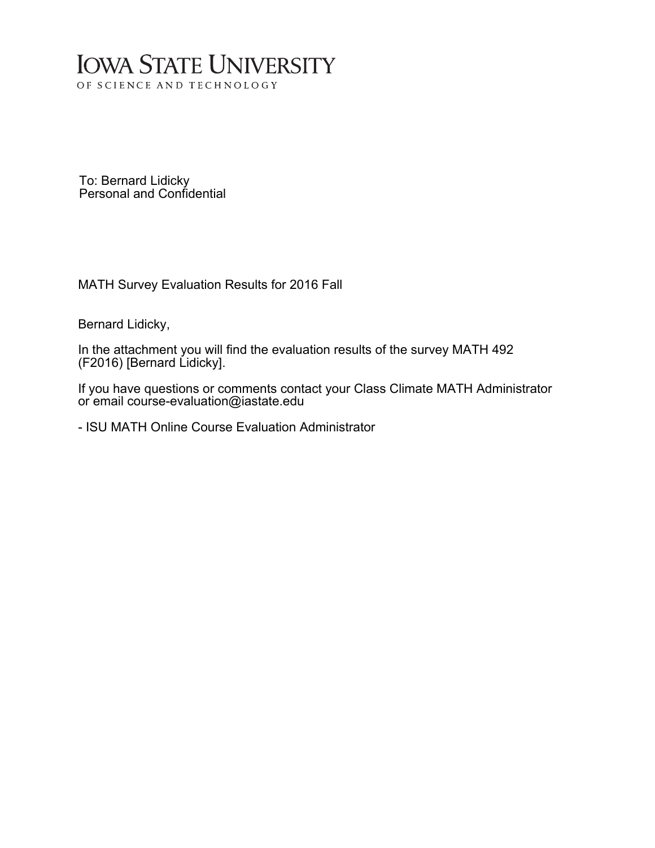## **IOWA STATE UNIVERSITY** OF SCIENCE AND TECHNOLOGY

To: Bernard Lidicky Personal and Confidential

MATH Survey Evaluation Results for 2016 Fall

Bernard Lidicky,

In the attachment you will find the evaluation results of the survey MATH 492 (F2016) [Bernard Lidicky].

If you have questions or comments contact your Class Climate MATH Administrator or email course-evaluation@iastate.edu

- ISU MATH Online Course Evaluation Administrator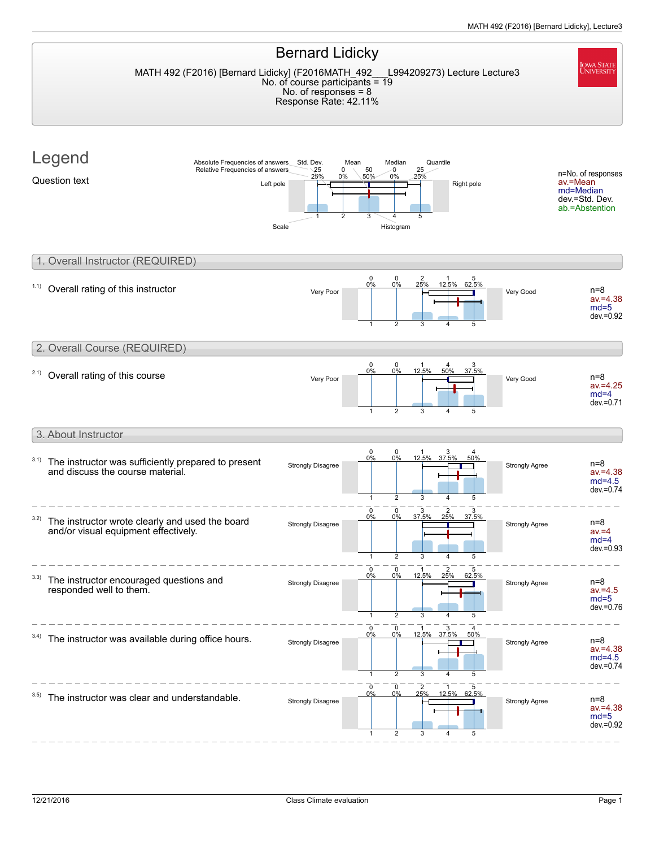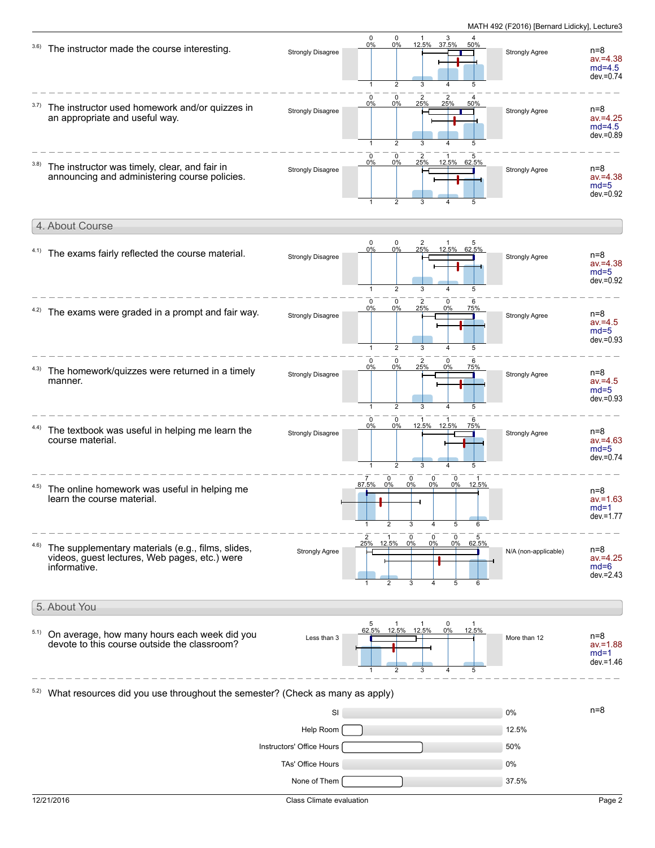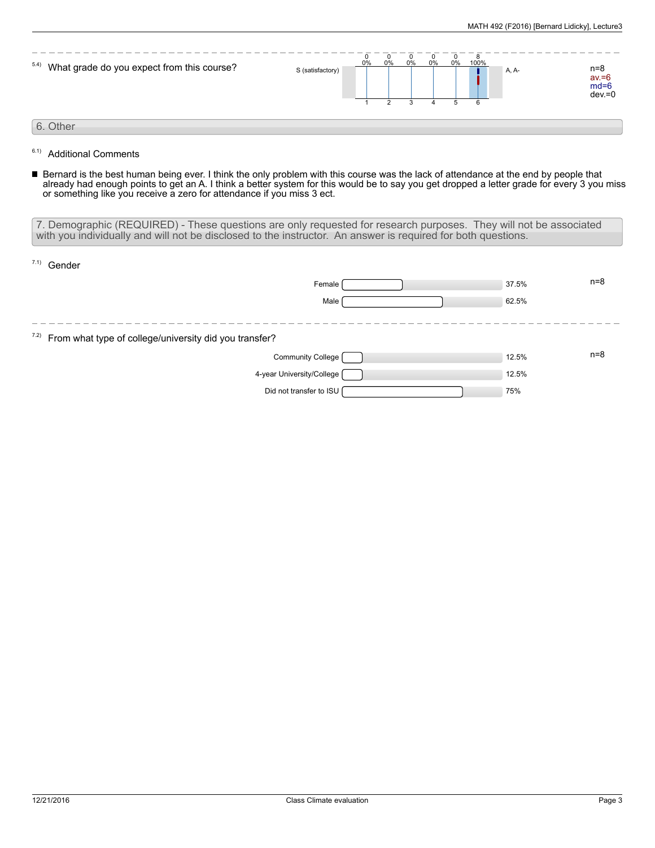| 5.4) What grade do you expect from this course? | S (satisfactory) | U<br>0% | 0% | $\Omega$<br>0% | 0% | $\Omega$<br>$0\%$ | 100% | A, A- | $n=8$<br>av.=6<br>md=6<br>$dev = 0$ |  |
|-------------------------------------------------|------------------|---------|----|----------------|----|-------------------|------|-------|-------------------------------------|--|
| 6. Other                                        |                  |         |    |                |    |                   |      |       |                                     |  |

<sup>6.1)</sup> Additional Comments

Bernard is the best human being ever. I think the only problem with this course was the lack of attendance at the end by people that already had enough points to get an A. I think a better system for this would be to say you get dropped a letter grade for every 3 you miss or something like you receive a zero for attendance if you miss 3 ect.

7. Demographic (REQUIRED) - These questions are only requested for research purposes. They will not be associated with you individually and will not be disclosed to the instructor. An answer is required for both questions.

| 7.1)<br>Gender                                                         |       |       |  |  |  |  |  |  |  |
|------------------------------------------------------------------------|-------|-------|--|--|--|--|--|--|--|
| Female                                                                 | 37.5% | $n=8$ |  |  |  |  |  |  |  |
| Male                                                                   | 62.5% |       |  |  |  |  |  |  |  |
|                                                                        |       |       |  |  |  |  |  |  |  |
| <sup>7.2)</sup> From what type of college/university did you transfer? |       |       |  |  |  |  |  |  |  |
| Community College [                                                    | 12.5% | $n=8$ |  |  |  |  |  |  |  |
| 4-year University/College [                                            | 12.5% |       |  |  |  |  |  |  |  |
| Did not transfer to ISU                                                | 75%   |       |  |  |  |  |  |  |  |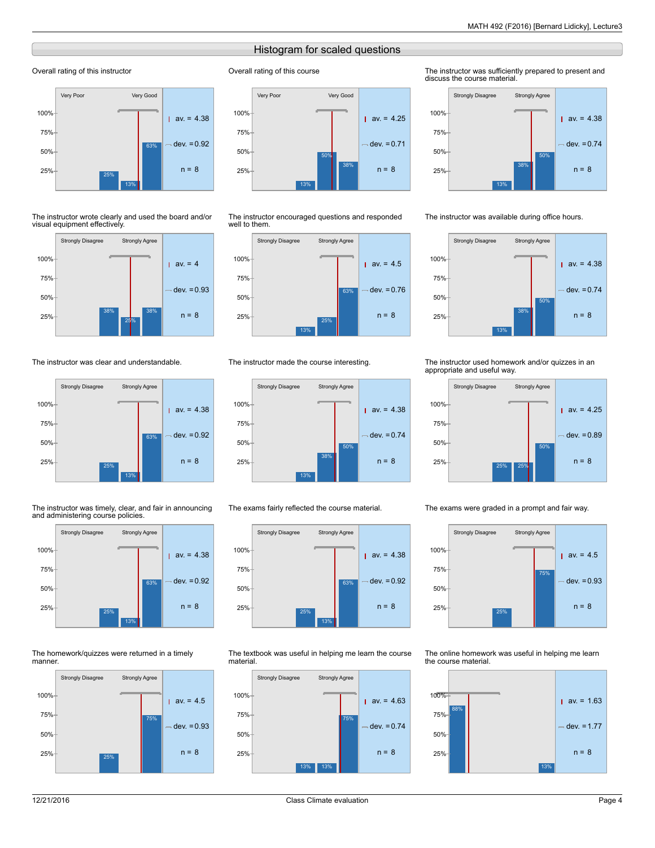## Histogram for scaled questions

Overall rating of this course

## Overall rating of this instructor



The instructor wrote clearly and used the board and/or visual equipment effectively.



The instructor was clear and understandable.



The instructor was timely, clear, and fair in announcing and administering course policies.



The homework/quizzes were returned in a timely manner.





The instructor encouraged questions and responded well to them.



The instructor made the course interesting.



The exams fairly reflected the course material.



The textbook was useful in helping me learn the course material.



The instructor was sufficiently prepared to present and discuss the course material.



The instructor was available during office hours.



## The instructor used homework and/or quizzes in an appropriate and useful way.



The exams were graded in a prompt and fair way.



The online homework was useful in helping me learn the course material.

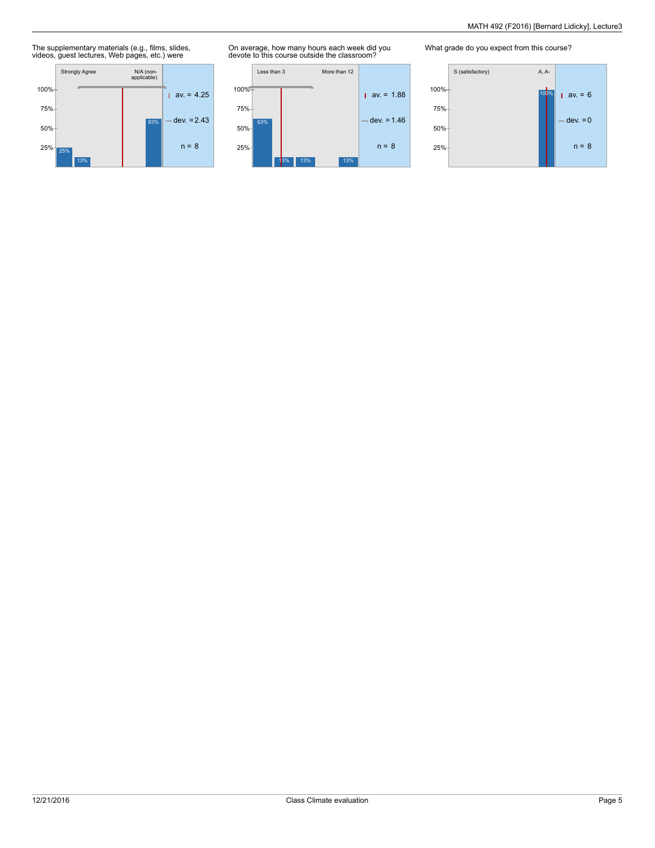The supplementary materials (e.g., films, slides, videos, guest lectures, Web pages, etc.) were



On average, how many hours each week did you devote to this course outside the classroom?



What grade do you expect from this course?

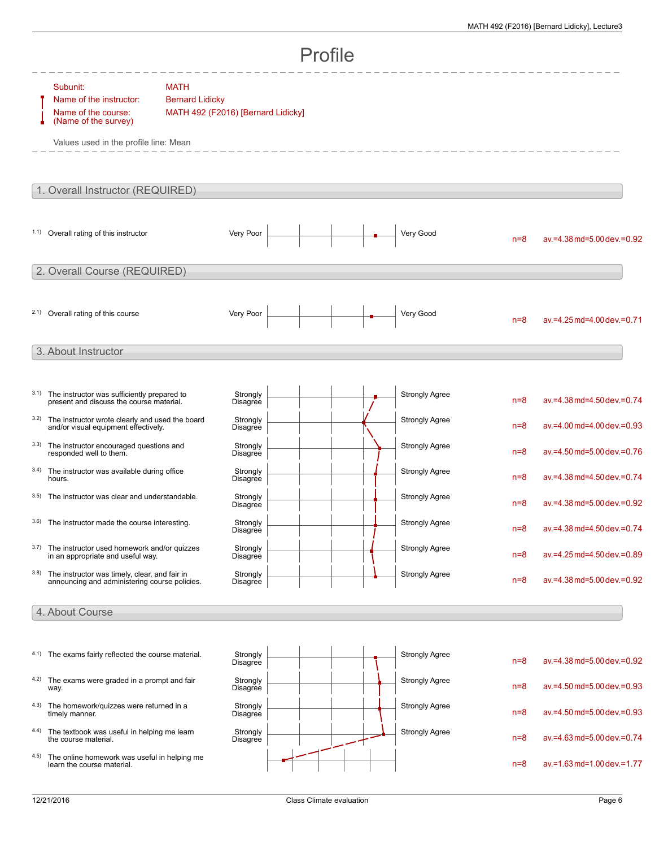|      | Profile                                                                                                                     |                                                                             |                      |  |  |  |  |                       |       |                                |  |  |
|------|-----------------------------------------------------------------------------------------------------------------------------|-----------------------------------------------------------------------------|----------------------|--|--|--|--|-----------------------|-------|--------------------------------|--|--|
|      | Subunit:<br>Name of the instructor:<br>Name of the course:<br>(Name of the survey)<br>Values used in the profile line: Mean | <b>MATH</b><br><b>Bernard Lidicky</b><br>MATH 492 (F2016) [Bernard Lidicky] |                      |  |  |  |  |                       |       |                                |  |  |
|      | 1. Overall Instructor (REQUIRED)                                                                                            |                                                                             |                      |  |  |  |  |                       |       |                                |  |  |
|      | 1.1) Overall rating of this instructor                                                                                      |                                                                             | Very Poor            |  |  |  |  | Very Good             | $n=8$ | av.=4.38 md=5.00 dev.=0.92     |  |  |
|      | 2. Overall Course (REQUIRED)                                                                                                |                                                                             |                      |  |  |  |  |                       |       |                                |  |  |
|      | 2.1) Overall rating of this course                                                                                          |                                                                             | Very Poor            |  |  |  |  | Very Good             | $n=8$ | av.=4.25 md=4.00 dev.=0.71     |  |  |
|      | 3. About Instructor                                                                                                         |                                                                             |                      |  |  |  |  |                       |       |                                |  |  |
| 3.1) | The instructor was sufficiently prepared to<br>present and discuss the course material.                                     |                                                                             | Strongly<br>Disagree |  |  |  |  | <b>Strongly Agree</b> | $n=8$ | av.=4.38 md=4.50 dev.=0.74     |  |  |
| 3.2) | The instructor wrote clearly and used the board<br>and/or visual equipment effectively.                                     |                                                                             | Strongly<br>Disagree |  |  |  |  | <b>Strongly Agree</b> | $n=8$ | av.=4.00 md=4.00 dev.=0.93     |  |  |
| 3.3) | The instructor encouraged questions and<br>responded well to them.                                                          |                                                                             | Strongly<br>Disagree |  |  |  |  | <b>Strongly Agree</b> | $n=8$ | av.=4.50 md=5.00 dev.=0.76     |  |  |
| 3.4) | The instructor was available during office<br>hours.                                                                        |                                                                             | Strongly<br>Disagree |  |  |  |  | <b>Strongly Agree</b> | $n=8$ | av.=4.38 md=4.50 dev.=0.74     |  |  |
| 3.5) | The instructor was clear and understandable.                                                                                |                                                                             | Strongly<br>Disagree |  |  |  |  | <b>Strongly Agree</b> | $n=8$ | av.=4.38 md=5.00 dev.=0.92     |  |  |
| 3.6) | The instructor made the course interesting.                                                                                 |                                                                             | Strongly<br>Disagree |  |  |  |  | <b>Strongly Agree</b> | $n=8$ | av.=4.38 md=4.50 dev.=0.74     |  |  |
| 3.7) | The instructor used homework and/or quizzes<br>in an appropriate and useful way.                                            |                                                                             | Strongly<br>Disagree |  |  |  |  | <b>Strongly Agree</b> | $n=8$ | av.=4.25 md=4.50 dev.=0.89     |  |  |
| 3.8) | The instructor was timely, clear, and fair in<br>announcing and administering course policies.                              |                                                                             | Strongly<br>Disagree |  |  |  |  | <b>Strongly Agree</b> | $n=8$ | av.=4.38 md=5.00 dev.=0.92     |  |  |
|      | 4. About Course                                                                                                             |                                                                             |                      |  |  |  |  |                       |       |                                |  |  |
|      |                                                                                                                             |                                                                             |                      |  |  |  |  |                       |       |                                |  |  |
|      | 4.1) The exams fairly reflected the course material.                                                                        |                                                                             | Strongly<br>Disagree |  |  |  |  | <b>Strongly Agree</b> | $n=8$ | av.=4.38 md=5.00 dev.=0.92     |  |  |
|      | 4.2) The exams were graded in a prompt and fair<br>way.                                                                     |                                                                             | Strongly<br>Disagree |  |  |  |  | <b>Strongly Agree</b> | $n=8$ | av.=4.50 md=5.00 dev.=0.93     |  |  |
| 4.3) | The homework/quizzes were returned in a<br>timely manner.                                                                   |                                                                             | Strongly<br>Disagree |  |  |  |  | Strongly Agree        | $n=8$ | av.=4.50 md=5.00 dev.=0.93     |  |  |
| 4.4) | The textbook was useful in helping me learn<br>the course material.                                                         |                                                                             | Strongly<br>Disagree |  |  |  |  | <b>Strongly Agree</b> | $n=8$ | av.=4.63 md=5.00 dev.=0.74     |  |  |
| 4.5) | The online homework was useful in helping me<br>learn the course material.                                                  |                                                                             |                      |  |  |  |  |                       | $n=8$ | $av = 1.63$ md=1.00 dev = 1.77 |  |  |